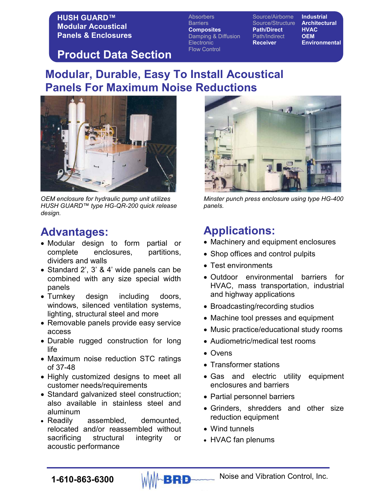Absorbers Source/Airborne **Industrial** Barriers Source/Structure **Architectural Composites Path/Direct HVAC**<br>Damping & Diffusion Path/Indirect **OEM** Damping & Diffusion **Path/Indirect** Electronic **Receiver Environmental** Flow Control

### **Product Data Section**

## **Modular, Durable, Easy To Install Acoustical Panels For Maximum Noise Reductions**



*OEM enclosure for hydraulic pump unit utilizes HUSH GUARD™ type HG-QR-200 quick release design.* 

## **Advantages:**

- Modular design to form partial or complete enclosures, partitions, dividers and walls
- Standard 2', 3' & 4' wide panels can be combined with any size special width panels
- Turnkey design including doors, windows, silenced ventilation systems, lighting, structural steel and more
- Removable panels provide easy service access
- Durable rugged construction for long life
- Maximum noise reduction STC ratings of 37-48
- Highly customized designs to meet all customer needs/requirements
- Standard galvanized steel construction; also available in stainless steel and aluminum
- Readily assembled, demounted, relocated and/or reassembled without sacrificing structural integrity or acoustic performance



*Minster punch press enclosure using type HG-400 panels.*

## **Applications:**

- Machinery and equipment enclosures
- Shop offices and control pulpits
- Test environments
- Outdoor environmental barriers for HVAC, mass transportation, industrial and highway applications
- Broadcasting/recording studios
- Machine tool presses and equipment
- Music practice/educational study rooms
- Audiometric/medical test rooms
- Ovens
- Transformer stations
- Gas and electric utility equipment enclosures and barriers
- Partial personnel barriers
- Grinders, shredders and other size reduction equipment
- Wind tunnels
- HVAC fan plenums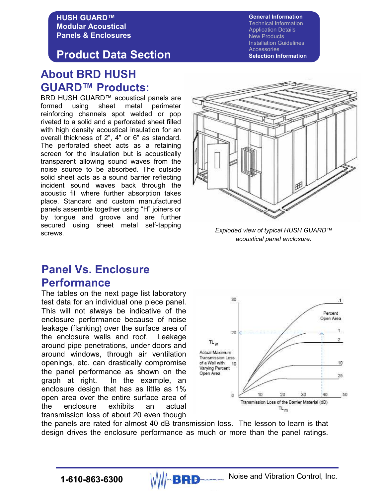### **Product Data Section**

### **About BRD HUSH GUARD™ Products:**

BRD HUSH GUARD™ acoustical panels are formed using sheet metal perimeter reinforcing channels spot welded or pop riveted to a solid and a perforated sheet filled with high density acoustical insulation for an overall thickness of 2", 4" or 6" as standard. The perforated sheet acts as a retaining screen for the insulation but is acoustically transparent allowing sound waves from the noise source to be absorbed. The outside solid sheet acts as a sound barrier reflecting incident sound waves back through the acoustic fill where further absorption takes place. Standard and custom manufactured panels assemble together using "H" joiners or by tongue and groove and are further secured using sheet metal self-tapping screws. *Exploded view of typical HUSH GUARD™* 



*acoustical panel enclosure*.

## **Panel Vs. Enclosure Performance**

The tables on the next page list laboratory test data for an individual one piece panel. This will not always be indicative of the enclosure performance because of noise leakage (flanking) over the surface area of the enclosure walls and roof. Leakage around pipe penetrations, under doors and around windows, through air ventilation openings, etc. can drastically compromise the panel performance as shown on the graph at right. In the example, an enclosure design that has as little as 1% open area over the entire surface area of the enclosure exhibits an actual transmission loss of about 20 even though



the panels are rated for almost 40 dB transmission loss. The lesson to learn is that design drives the enclosure performance as much or more than the panel ratings.

Technical Information Application Details New Products Installation Guidelines

**Accessories Selection Information** 

**General Information**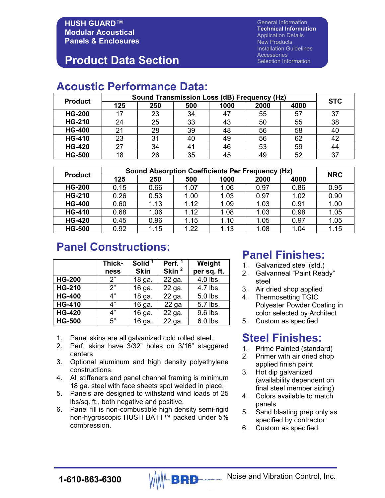### **Product Data Section**

General Information **Technical Information**  Application Details New Products Installation Guidelines **Accessories** Selection Information

### **Acoustic Performance Data:**

| <b>Product</b> | Sound Transmission Loss (dB) Frequency (Hz) |     |     |      |      |      |            |
|----------------|---------------------------------------------|-----|-----|------|------|------|------------|
|                | 125                                         | 250 | 500 | 1000 | 2000 | 4000 | <b>STC</b> |
| <b>HG-200</b>  |                                             | 23  | 34  |      | 55   | 57   | 37         |
| <b>HG-210</b>  | 24                                          | 25  | 33  | 43   | 50   | 55   | 38         |
| <b>HG-400</b>  | 21                                          | 28  | 39  | 48   | 56   | 58   | 40         |
| <b>HG-410</b>  | 23                                          | 31  | 40  | 49   | 56   | 62   | 42         |
| <b>HG-420</b>  | 27                                          | 34  | 41  | 46   | 53   | 59   | 44         |
| <b>HG-500</b>  | 18                                          | 26  | 35  | 45   | 49   | 52   | 37         |

| <b>Product</b> | <b>Sound Absorption Coefficients Per Frequency (Hz)</b> |      |      |      |      |      |            |
|----------------|---------------------------------------------------------|------|------|------|------|------|------------|
|                | 125                                                     | 250  | 500  | 1000 | 2000 | 4000 | <b>NRC</b> |
| <b>HG-200</b>  | 0.15                                                    | 0.66 | 1.07 | 1.06 | 0.97 | 0.86 | 0.95       |
| <b>HG-210</b>  | 0.26                                                    | 0.53 | 1.00 | 1.03 | 0.97 | 1.02 | 0.90       |
| <b>HG-400</b>  | 0.60                                                    | 1.13 | 1.12 | 1.09 | 1.03 | 0.91 | 1.00       |
| <b>HG-410</b>  | 0.68                                                    | 1.06 | 1.12 | 1.08 | 1.03 | 0.98 | 1.05       |
| <b>HG-420</b>  | 0.45                                                    | 0.96 | 1.15 | 1.10 | 1.05 | 0.97 | 1.05       |
| <b>HG-500</b>  | 0.92                                                    | 1.15 | 1.22 | 1.13 | 1.08 | 1.04 | 1.15       |

### **Panel Constructions:**

|               | Thick-<br>ness | Solid <sup>1</sup><br><b>Skin</b> | Perf. <sup>1</sup><br>Skin <sup>2</sup> | Weight<br>per sq. ft. |
|---------------|----------------|-----------------------------------|-----------------------------------------|-----------------------|
| <b>HG-200</b> | 2"             | 18 ga.                            | 22 ga.                                  | 4.0 lbs.              |
| <b>HG-210</b> | 2"             | 16 ga.                            | 22 ga.                                  | 4.7 lbs.              |
| <b>HG-400</b> | 4"             | 18 ga.                            | 22 ga.                                  | 5.0 lbs.              |
| <b>HG-410</b> | 4"             | 16 ga.                            | $22$ ga                                 | 5.7 lbs.              |
| <b>HG-420</b> | 4"             | 16 ga.                            | 22 ga.                                  | 9.6 lbs.              |
| <b>HG-500</b> | 5"             | 16 ga.                            | 22 ga.                                  | 6.0 lbs.              |

- 1. Panel skins are all galvanized cold rolled steel.
- 2. Perf. skins have 3/32" holes on 3/16" staggered centers
- 3. Optional aluminum and high density polyethylene constructions.
- 4. All stiffeners and panel channel framing is minimum 18 ga. steel with face sheets spot welded in place.
- 5. Panels are designed to withstand wind loads of 25 lbs/sq. ft., both negative and positive.
- 6. Panel fill is non-combustible high density semi-rigid non-hygroscopic HUSH BATT™ packed under 5% compression.

### **Panel Finishes:**

- 1. Galvanized steel (std.)
- 2. Galvanneal "Paint Ready" steel
- 3. Air dried shop applied
- 4. Thermosetting TGIC Polyester Powder Coating in color selected by Architect
- 5. Custom as specified

### **Steel Finishes:**

- 1. Prime Painted (standard)
- 2. Primer with air dried shop applied finish paint
- 3. Hot dip galvanized (availability dependent on final steel member sizing)
- 4. Colors available to match panels
- 5. Sand blasting prep only as specified by contractor
- 6. Custom as specified

**1-610-863-6300** MMABRD Noise and Vibration Control, Inc.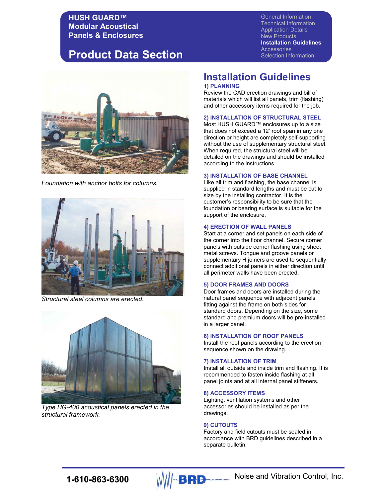### **Product Data Section**

General Information Technical Information Application Details New Products **Installation Guidelines Accessories** Selection Information



*Foundation with anchor bolts for columns.*



*Structural steel columns are erected.*



*Type HG-400 acoustical panels erected in the structural framework.*

### **Installation Guidelines 1) PLANNING**

Review the CAD erection drawings and bill of materials which will list all panels, trim (flashing) and other accessory items required for the job.

#### **2) INSTALLATION OF STRUCTURAL STEEL**

Most HUSH GUARD™ enclosures up to a size that does not exceed a 12' roof span in any one direction or height are completely self-supporting without the use of supplementary structural steel. When required, the structural steel will be detailed on the drawings and should be installed according to the instructions.

#### **3) INSTALLATION OF BASE CHANNEL**

Like all trim and flashing, the base channel is supplied in standard lengths and must be cut to size by the installing contractor. It is the customer's responsibility to be sure that the foundation or bearing surface is suitable for the support of the enclosure.

#### **4) ERECTION OF WALL PANELS**

Start at a corner and set panels on each side of the corner into the floor channel. Secure corner panels with outside corner flashing using sheet metal screws. Tongue and groove panels or supplementary H joiners are used to sequentially connect additional panels in either direction until all perimeter walls have been erected.

#### **5) DOOR FRAMES AND DOORS**

Door frames and doors are installed during the natural panel sequence with adjacent panels fitting against the frame on both sides for standard doors. Depending on the size, some standard and premium doors will be pre-installed in a larger panel.

#### **6) INSTALLATION OF ROOF PANELS**

Install the roof panels according to the erection sequence shown on the drawing.

#### **7) INSTALLATION OF TRIM**

Install all outside and inside trim and flashing. It is recommended to fasten inside flashing at all panel joints and at all internal panel stiffeners.

#### **8) ACCESSORY ITEMS**

Lighting, ventilation systems and other accessories should be installed as per the drawings.

#### **9) CUTOUTS**

Factory and field cutouts must be sealed in accordance with BRD guidelines described in a separate bulletin.

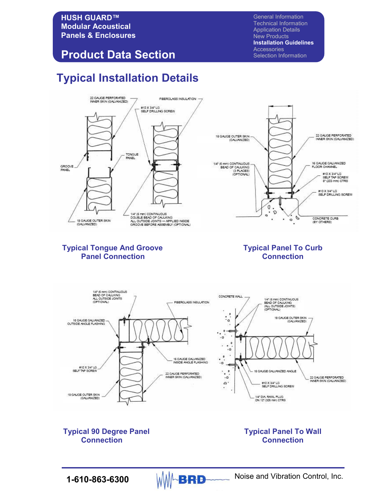### **Product Data Section**

# **Typical Installation Details**

General Information Technical Information Application Details New Products **Installation Guidelines**  Accessories Selection Information



### **Typical Tongue And Groove Typical Panel To Curb**<br>**Panel Connection**<br>**Connection Panel Connection**



**Typical 90 Degree Panel Typical Panel To Wall Connection** 

# **Connection Connection**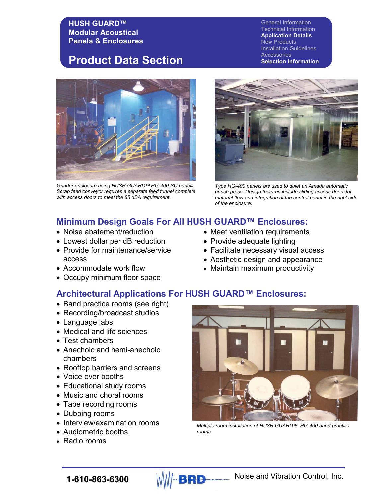### **Product Data Section**

*Grinder enclosure using HUSH GUARD™HG-400-SC panels. Scrap feed conveyor requires a separate feed tunnel complete with access doors to meet the 85 dBA requirement.*

General Information Technical Information **Application Details**  New Products Installation Guidelines **Accessories Selection Information** 



*Type HG-400 panels are used to quiet an Amada automatic punch press. Design features include sliding access doors for material flow and integration of the control panel in the right side of the enclosure.*

### **Minimum Design Goals For All HUSH GUARD™ Enclosures:**

- Noise abatement/reduction
- Lowest dollar per dB reduction
- Provide for maintenance/service access
- Accommodate work flow
- Occupy minimum floor space
- Meet ventilation requirements
- Provide adequate lighting
- Facilitate necessary visual access
- Aesthetic design and appearance
- Maintain maximum productivity

### **Architectural Applications For HUSH GUARD™ Enclosures:**

- Band practice rooms (see right)
- Recording/broadcast studios
- Language labs
- Medical and life sciences
- Test chambers
- Anechoic and hemi-anechoic chambers
- Rooftop barriers and screens
- Voice over booths
- Educational study rooms
- Music and choral rooms
- Tape recording rooms
- Dubbing rooms
- Interview/examination rooms
- Audiometric booths
- Radio rooms



*Multiple room installation of HUSH GUARD™ HG-400 band practice rooms.*

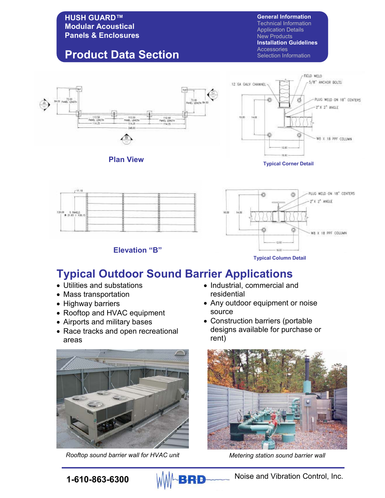## **Product Data Section**

**General Information** Technical Information Application Details

New Products **Installation Guidelines** 

**Accessories** Selection Information





**Elevation "B"**



**Typical Column Detail**

## **Typical Outdoor Sound Barrier Applications**

- Utilities and substations
- Mass transportation
- Highway barriers
- Rooftop and HVAC equipment
- Airports and military bases
- Race tracks and open recreational areas



*Rooftop sound barrier wall for HVAC unit Metering station sound barrier wall* 

- Industrial, commercial and residential
- Any outdoor equipment or noise source
- Construction barriers (portable designs available for purchase or rent)



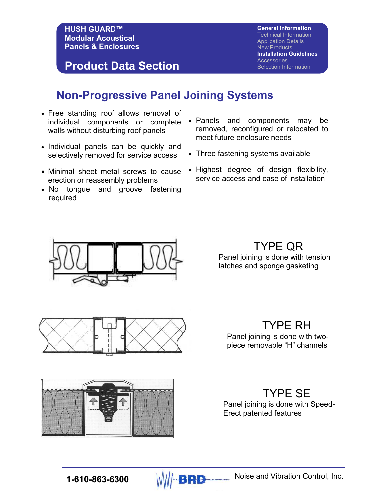**Product Data Section**

**General Information** Technical Information Application Details New Products **Installation Guidelines Accessories** Selection Information

## **Non-Progressive Panel Joining Systems**

- Free standing roof allows removal of individual components or complete walls without disturbing roof panels
- Individual panels can be quickly and selectively removed for service access
- Minimal sheet metal screws to cause erection or reassembly problems
- No tongue and groove fastening required
- Panels and components may be removed, reconfigured or relocated to meet future enclosure needs
- Three fastening systems available
- Highest degree of design flexibility, service access and ease of installation



TYPE QR

Panel joining is done with tension latches and sponge gasketing



TYPE RH Panel joining is done with twopiece removable "H" channels

### TYPE SE

Panel joining is done with Speed-Erect patented features



**1-610-863-6300** MMA**RRD** Noise and Vibration Control, Inc.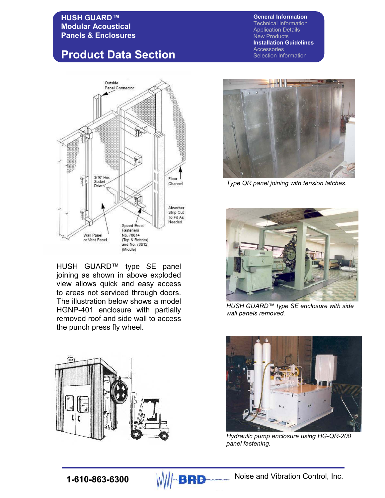## **Product Data Section**



HUSH GUARD™ type SE panel joining as shown in above exploded view allows quick and easy access to areas not serviced through doors. The illustration below shows a model HGNP-401 enclosure with partially removed roof and side wall to access the punch press fly wheel.



#### **General Information** Technical Information Application Details New Products **Installation Guidelines Accessories** Selection Information



*Type QR panel joining with tension latches.*



*HUSH GUARD™ type SE enclosure with side wall panels removed.*



*Hydraulic pump enclosure using HG-QR-200 panel fastening.* 

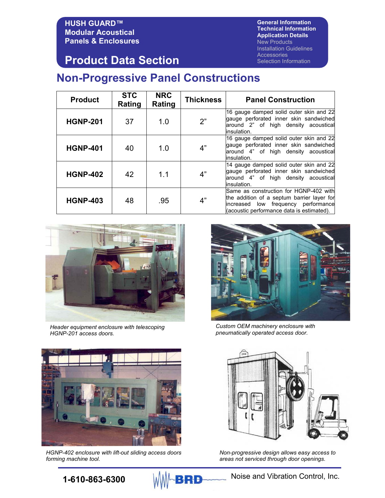**General Information Technical Information Application Details**  New Products Installation Guidelines **Accessories** Selection Information

### **Product Data Section**

## **Non-Progressive Panel Constructions**

| <b>Product</b>  | <b>STC</b><br>Rating | <b>NRC</b><br>Rating | Thickness | <b>Panel Construction</b>                                                                                                                                                   |
|-----------------|----------------------|----------------------|-----------|-----------------------------------------------------------------------------------------------------------------------------------------------------------------------------|
| <b>HGNP-201</b> | 37                   | 1.0                  | 2"        | 16 gauge damped solid outer skin and 22<br>gauge perforated inner skin sandwiched<br>around 2" of high density acoustical<br>insulation.                                    |
| <b>HGNP-401</b> | 40                   | 1.0                  | 4"        | 16 gauge damped solid outer skin and 22<br>gauge perforated inner skin sandwiched<br>around 4" of high density acoustical<br>linsulation.                                   |
| <b>HGNP-402</b> | 42                   | 1.1                  | 4"        | 14 gauge damped solid outer skin and 22<br>gauge perforated inner skin sandwiched<br>around 4" of high density acoustical<br>insulation.                                    |
| <b>HGNP-403</b> | 48                   | .95                  | 4"        | Same as construction for HGNP-402 with<br>the addition of a septum barrier layer for<br>low frequency performance<br>increased<br>(acoustic performance data is estimated). |



*Header equipment enclosure with telescoping HGNP-201 access doors.*



*Custom OEM machinery enclosure with pneumatically operated access door.*



*HGNP-402 enclosure with lift-out sliding access doors forming machine tool.* 



*Non-progressive design allows easy access to areas not serviced through door openings.*